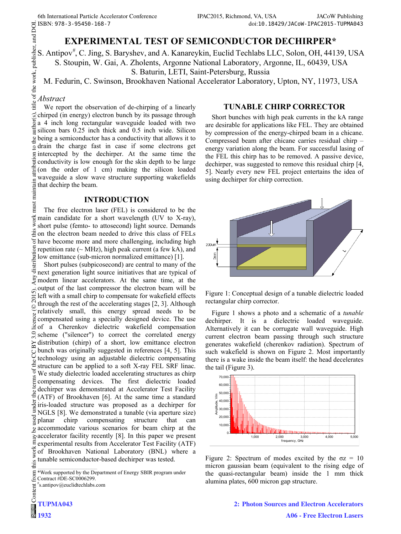# **EXPERIMENTAL TEST OF SEMICONDUCTOR DECHIRPER\***

S. Antipov<sup>#</sup>, C. Jing, S. Baryshev, and A. Kanareykin, Euclid Techlabs LLC, Solon, OH, 44139, USA S. Stoupin, W. Gai, A. Zholents, Argonne National Laboratory, Argonne, IL, 60439, USA S. Baturin, LETI, Saint-Petersburg, Russia

M. Fedurin, C. Swinson, Brookhaven National Accelerator Laboratory, Upton, NY, 11973, USA

### *Abstract*

We report the observation of de-chirping of a linearly chirped (in energy) electron bunch by its passage through a 4 inch long rectangular waveguide loaded with two silicon bars 0.25 inch thick and 0.5 inch wide. Silicon being a semiconductor has a conductivity that allows it to  $\frac{1}{6}$  drain the charge fast in case if some electrons get  $\overline{g}$  intercepted by the dechirper. At the same time the conductivity is low enough for the skin depth to be large (on the order of 1 cm) making the silicon loaded waveguide a slow wave structure supporting wakefields E waveguide a slow was<br>that dechirp the beam.

#### **INTRODUCTION**

must The free electron laser (FEL) is considered to be the work main candidate for a short wavelength (UV to X-ray), short pulse (femto- to attosecond) light source. Demands  $\ddot{\ddot{\Xi}}$  on the electron beam needed to drive this class of FELs have become more and more challenging, including high  $\frac{5}{6}$  repetition rate (~ MHz), high peak current (a few kA), and  $\frac{1}{2}$  low emittance (sub-micron normalized emittance) [1].

distril Short pulses (subpicosecond) are central to many of the next generation light source initiatives that are typical of modern linear accelerators. At the same time, at the output of the last compressor the electron beam will be  $\tilde{\Omega}$ left with a small chirp to compensate for wakefield effects 201 through the rest of the accelerating stages [2, 3]. Although ©Content from this work may be used under the terms of the CC BY 3.0 licence ( $\epsilon$ relatively small, this energy spread needs to be licence compensated using a specially designed device. The use of a Cherenkov dielectric wakefield compensation  $3.0$ scheme ("silencer") to correct the correlated energy distribution (chirp) of a short, low emittance electron ΣŠ bunch was originally suggested in references [4, 5]. This g technology using an adjustable dielectric compensating de structure can be applied to a soft X-ray FEL SRF linac. s of We study dielectric loaded accelerating structures as chirp  $em$ compensating devices. The first dielectric loaded dechirper was demonstrated at Accelerator Test Facility (ATF) of Brookhaven [6]. At the same time a standard under iris-loaded structure was proposed as a dechirper for NGLS [8]. We demonstrated a tunable (via aperture size)  $_{\rm{seed}}$  $\frac{3}{2}$  planar chirp compensating structure that can g accommodate various scenarios for beam chirp at the accommodate various scenarios for beam chirp at the accelerator facility recently [8]. In this paper we present experimental results from Accelerator Test Facility (ATF) work of Brookhaven National Laboratory (BNL) where a tunable semiconductor-based dechirper was tested. this

### **TUNABLE CHIRP CORRECTOR**

Short bunches with high peak currents in the kA range are desirable for applications like FEL. They are obtained by compression of the energy-chirped beam in a chicane. Compressed beam after chicane carries residual chirp – energy variation along the beam. For successful lasing of the FEL this chirp has to be removed. A passive device, dechirper, was suggested to remove this residual chirp [4, 5]. Nearly every new FEL project entertains the idea of using dechirper for chirp correction.



Figure 1: Conceptual design of a tunable dielectric loaded rectangular chirp corrector.

Figure 1 shows a photo and a schematic of a *tunable* dechirper. It is a dielectric loaded waveguide. Alternatively it can be corrugate wall waveguide. High current electron beam passing through such structure generates wakefield (cherenkov radiation). Spectrum of such wakefield is shown on Figure 2. Most importantly there is a wake inside the beam itself: the head decelerates the tail (Figure 3).



Figure 2: Spectrum of modes excited by the  $\sigma z = 10$ micron gaussian beam (equivalent to the rising edge of the quasi-rectangular beam) inside the 1 mm thick alumina plates, 600 micron gap structure.

<sup>\*</sup>Work supported by the Department of Energy SBIR program under from Contract #DE-SC0006299.

<sup>#</sup> s.antipov@euclidtechlabs.com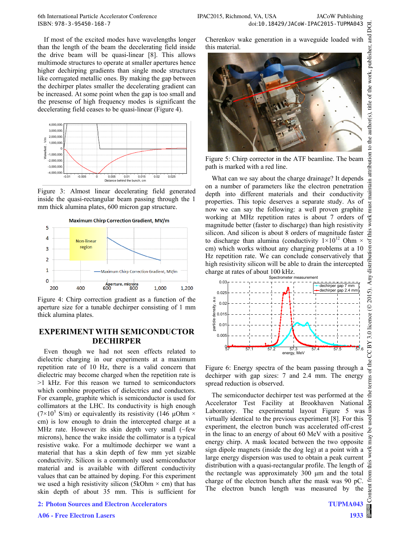If most of the excited modes have wavelengths longer than the length of the beam the decelerating field inside the drive beam will be quasi-linear [8]. This allows multimode structures to operate at smaller apertures hence higher dechirping gradients than single mode structures like corrugated metallic ones. By making the gap between the dechirper plates smaller the decelerating gradient can be increased. At some point when the gap is too small and the presense of high frequency modes is significant the decelerating field ceases to be quasi-linear (Figure 4).



Figure 3: Almost linear decelerating field generated inside the quasi-rectangular beam passing through the 1 mm thick alumina plates, 600 micron gap structure.



Figure 4: Chirp correction gradient as a function of the aperture size for a tunable dechirper consisting of 1 mm thick alumina plates.

## **EXPERIMENT WITH SEMICONDUCTOR DECHIRPER**

Even though we had not seen effects related to dielectric charging in our experiments at a maximum repetition rate of 10 Hz, there is a valid concern that dielectric may become charged when the repetition rate is >1 kHz. For this reason we turned to semiconductors which combine properties of dielectrics and conductors. For example, graphite which is semiconductor is used for collimators at the LHC. Its conductivity is high enough (7×10<sup>5</sup> S/m) or equivalently its resistivity (146  $\mu$ Ohm × cm) is low enough to drain the intercepted charge at a MHz rate. However its skin depth very small (~few microns), hence the wake inside the collimator is a typical resistive wake. For a multimode dechirper we want a material that has a skin depth of few mm yet sizable conductivity. Silicon is a commonly used semiconductor material and is available with different conductivity values that can be attained by doping. For this experiment we used a high resistivity silicon (5kOhm  $\times$  cm) that has skin depth of about 35 mm. This is sufficient for

**2: Photon Sources and Electron Accelerators**

Cherenkov wake generation in a waveguide loaded with this material.



Figure 5: Chirp corrector in the ATF beamline. The beam path is marked with a red line.

What can we say about the charge drainage? It depends on a number of parameters like the electron penetration depth into different materials and their conductivity properties. This topic deserves a separate study. As of now we can say the following: a well proven graphite working at MHz repetition rates is about 7 orders of magnitude better (faster to discharge) than high resistivity silicon. And silicon is about 8 orders of magnitude faster to discharge than alumina (conductivity  $1\times10^{12}$  Ohm  $\times$ cm) which works without any charging problems at a 10 Hz repetition rate. We can conclude conservatively that high resistivity silicon will be able to drain the intercepted charge at rates of about 100 kHz.



Figure 6: Energy spectra of the beam passing through a dechirper with gap sizes: 7 and 2.4 mm. The energy spread reduction is observed.

The semiconductor dechirper test was performed at the Accelerator Test Facility at Brookhaven National Laboratory. The experimental layout Figure 5 was  $\overline{5}$ virtually identical to the previous experiment [8]. For this experiment, the electron bunch was accelerated off-crest in the linac to an energy of about 60 MeV with a positive energy chirp. A mask located between the two opposite sign dipole magnets (inside the dog leg) at a point with a large energy dispersion was used to obtain a peak current distribution with a quasi-rectangular profile. The length of the rectangle was approximately 300 μm and the total charge of the electron bunch after the mask was 90 pC. The electron bunch length was measured by the